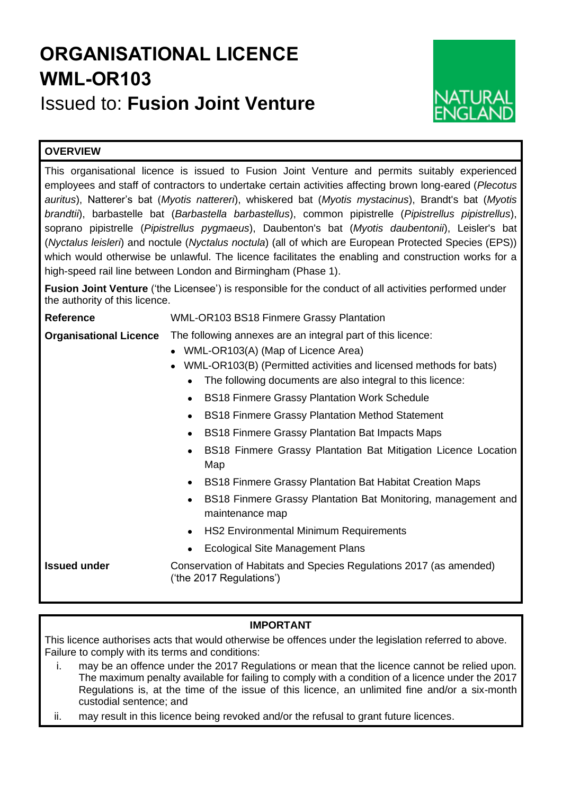## **ORGANISATIONAL LICENCE WML-OR103** Issued to: **Fusion Joint Venture**



## **OVERVIEW**

This organisational licence is issued to Fusion Joint Venture and permits suitably experienced employees and staff of contractors to undertake certain activities affecting brown long-eared (*Plecotus auritus*), Natterer's bat (*Myotis nattereri*), whiskered bat (*Myotis mystacinus*), Brandt's bat (*Myotis brandtii*), barbastelle bat (*Barbastella barbastellus*), common pipistrelle (*Pipistrellus pipistrellus*), soprano pipistrelle (*Pipistrellus pygmaeus*), Daubenton's bat (*Myotis daubentonii*), Leisler's bat (*Nyctalus leisleri*) and noctule (*Nyctalus noctula*) (all of which are European Protected Species (EPS)) which would otherwise be unlawful. The licence facilitates the enabling and construction works for a high-speed rail line between London and Birmingham (Phase 1).

**Fusion Joint Venture** ('the Licensee') is responsible for the conduct of all activities performed under the authority of this licence.

| <b>Reference</b>              | <b>WML-OR103 BS18 Finmere Grassy Plantation</b>                                                                                                                                                                                                                                                                                                                                                                                                                                          |
|-------------------------------|------------------------------------------------------------------------------------------------------------------------------------------------------------------------------------------------------------------------------------------------------------------------------------------------------------------------------------------------------------------------------------------------------------------------------------------------------------------------------------------|
| <b>Organisational Licence</b> | The following annexes are an integral part of this licence:<br>WML-OR103(A) (Map of Licence Area)<br>WML-OR103(B) (Permitted activities and licensed methods for bats)<br>The following documents are also integral to this licence:<br><b>BS18 Finmere Grassy Plantation Work Schedule</b><br><b>BS18 Finmere Grassy Plantation Method Statement</b><br><b>BS18 Finmere Grassy Plantation Bat Impacts Maps</b><br>BS18 Finmere Grassy Plantation Bat Mitigation Licence Location<br>Map |
| <b>Issued under</b>           | <b>BS18 Finmere Grassy Plantation Bat Habitat Creation Maps</b><br>BS18 Finmere Grassy Plantation Bat Monitoring, management and<br>$\bullet$<br>maintenance map<br><b>HS2 Environmental Minimum Requirements</b><br><b>Ecological Site Management Plans</b><br>Conservation of Habitats and Species Regulations 2017 (as amended)<br>('the 2017 Regulations')                                                                                                                           |

## **IMPORTANT**

This licence authorises acts that would otherwise be offences under the legislation referred to above. Failure to comply with its terms and conditions:

- i. may be an offence under the 2017 Regulations or mean that the licence cannot be relied upon. The maximum penalty available for failing to comply with a condition of a licence under the 2017 Regulations is, at the time of the issue of this licence, an unlimited fine and/or a six-month custodial sentence; and
- ii. may result in this licence being revoked and/or the refusal to grant future licences.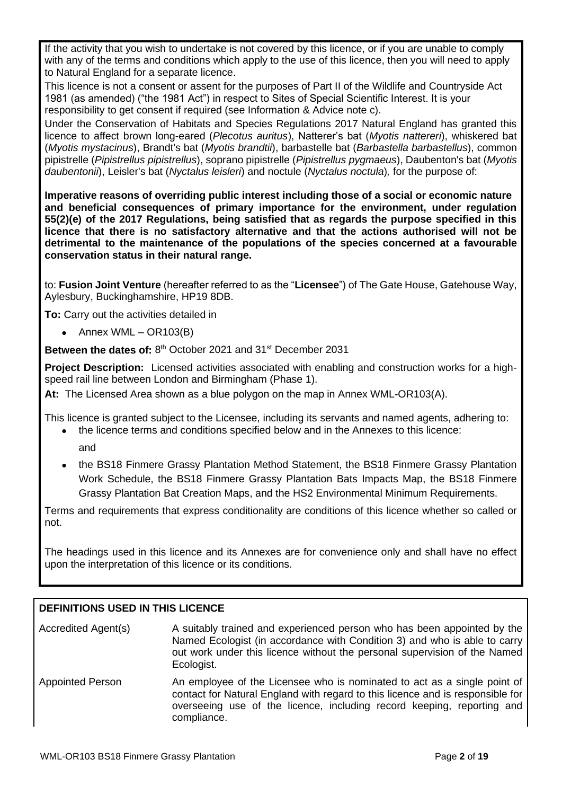If the activity that you wish to undertake is not covered by this licence, or if you are unable to comply with any of the terms and conditions which apply to the use of this licence, then you will need to apply to Natural England for a separate licence.

This licence is not a consent or assent for the purposes of Part II of the Wildlife and Countryside Act 1981 (as amended) ("the 1981 Act") in respect to Sites of Special Scientific Interest. It is your responsibility to get consent if required (see Information & Advice note c).

Under the Conservation of Habitats and Species Regulations 2017 Natural England has granted this licence to affect brown long-eared (*Plecotus auritus*), Natterer's bat (*Myotis nattereri*), whiskered bat (*Myotis mystacinus*), Brandt's bat (*Myotis brandtii*), barbastelle bat (*Barbastella barbastellus*), common pipistrelle (*Pipistrellus pipistrellus*), soprano pipistrelle (*Pipistrellus pygmaeus*), Daubenton's bat (*Myotis daubentonii*), Leisler's bat (*Nyctalus leisleri*) and noctule (*Nyctalus noctula*)*,* for the purpose of:

**Imperative reasons of overriding public interest including those of a social or economic nature and beneficial consequences of primary importance for the environment, under regulation 55(2)(e) of the 2017 Regulations, being satisfied that as regards the purpose specified in this licence that there is no satisfactory alternative and that the actions authorised will not be detrimental to the maintenance of the populations of the species concerned at a favourable conservation status in their natural range.**

to: **Fusion Joint Venture** (hereafter referred to as the "**Licensee**") of The Gate House, Gatehouse Way, Aylesbury, Buckinghamshire, HP19 8DB.

**To:** Carry out the activities detailed in

• Annex WML – OR103(B)

Between the dates of: 8<sup>th</sup> October 2021 and 31<sup>st</sup> December 2031

**Project Description:** Licensed activities associated with enabling and construction works for a highspeed rail line between London and Birmingham (Phase 1).

**At:** The Licensed Area shown as a blue polygon on the map in Annex WML-OR103(A).

This licence is granted subject to the Licensee, including its servants and named agents, adhering to:

- the licence terms and conditions specified below and in the Annexes to this licence: and
- the BS18 Finmere Grassy Plantation Method Statement, the BS18 Finmere Grassy Plantation Work Schedule, the BS18 Finmere Grassy Plantation Bats Impacts Map, the BS18 Finmere Grassy Plantation Bat Creation Maps, and the HS2 Environmental Minimum Requirements.

Terms and requirements that express conditionality are conditions of this licence whether so called or not.

The headings used in this licence and its Annexes are for convenience only and shall have no effect upon the interpretation of this licence or its conditions.

## **DEFINITIONS USED IN THIS LICENCE**

| Accredited Agent(s)     | A suitably trained and experienced person who has been appointed by the<br>Named Ecologist (in accordance with Condition 3) and who is able to carry<br>out work under this licence without the personal supervision of the Named<br>Ecologist.     |
|-------------------------|-----------------------------------------------------------------------------------------------------------------------------------------------------------------------------------------------------------------------------------------------------|
| <b>Appointed Person</b> | An employee of the Licensee who is nominated to act as a single point of<br>contact for Natural England with regard to this licence and is responsible for<br>overseeing use of the licence, including record keeping, reporting and<br>compliance. |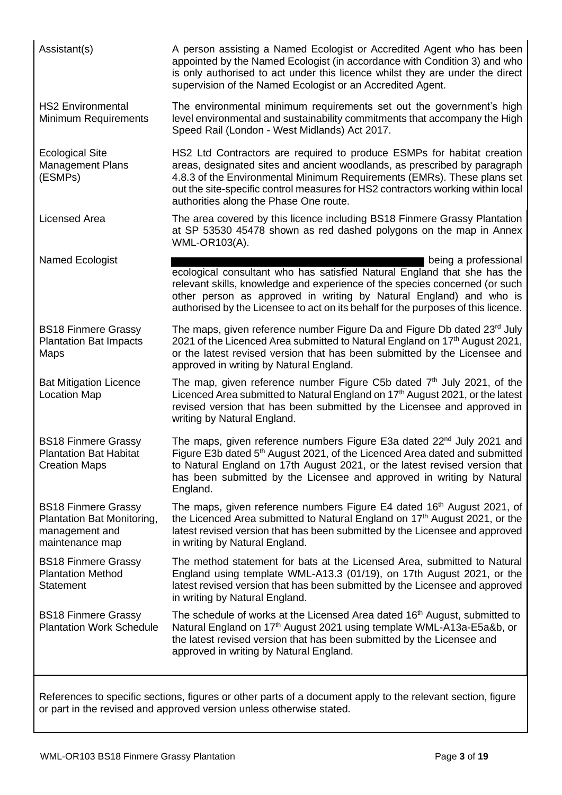| Assistant(s)                                                                                  | A person assisting a Named Ecologist or Accredited Agent who has been<br>appointed by the Named Ecologist (in accordance with Condition 3) and who<br>is only authorised to act under this licence whilst they are under the direct<br>supervision of the Named Ecologist or an Accredited Agent.                                                           |
|-----------------------------------------------------------------------------------------------|-------------------------------------------------------------------------------------------------------------------------------------------------------------------------------------------------------------------------------------------------------------------------------------------------------------------------------------------------------------|
| <b>HS2 Environmental</b><br>Minimum Requirements                                              | The environmental minimum requirements set out the government's high<br>level environmental and sustainability commitments that accompany the High<br>Speed Rail (London - West Midlands) Act 2017.                                                                                                                                                         |
| <b>Ecological Site</b><br><b>Management Plans</b><br>(ESMPs)                                  | HS2 Ltd Contractors are required to produce ESMPs for habitat creation<br>areas, designated sites and ancient woodlands, as prescribed by paragraph<br>4.8.3 of the Environmental Minimum Requirements (EMRs). These plans set<br>out the site-specific control measures for HS2 contractors working within local<br>authorities along the Phase One route. |
| <b>Licensed Area</b>                                                                          | The area covered by this licence including BS18 Finmere Grassy Plantation<br>at SP 53530 45478 shown as red dashed polygons on the map in Annex<br>WML-OR103(A).                                                                                                                                                                                            |
| Named Ecologist                                                                               | being a professional<br>ecological consultant who has satisfied Natural England that she has the<br>relevant skills, knowledge and experience of the species concerned (or such<br>other person as approved in writing by Natural England) and who is<br>authorised by the Licensee to act on its behalf for the purposes of this licence.                  |
| <b>BS18 Finmere Grassy</b><br><b>Plantation Bat Impacts</b><br>Maps                           | The maps, given reference number Figure Da and Figure Db dated 23rd July<br>2021 of the Licenced Area submitted to Natural England on 17th August 2021,<br>or the latest revised version that has been submitted by the Licensee and<br>approved in writing by Natural England.                                                                             |
| <b>Bat Mitigation Licence</b><br><b>Location Map</b>                                          | The map, given reference number Figure C5b dated $7th$ July 2021, of the<br>Licenced Area submitted to Natural England on 17 <sup>th</sup> August 2021, or the latest<br>revised version that has been submitted by the Licensee and approved in<br>writing by Natural England.                                                                             |
| <b>BS18 Finmere Grassy</b><br><b>Plantation Bat Habitat</b><br><b>Creation Maps</b>           | The maps, given reference numbers Figure E3a dated 22 <sup>nd</sup> July 2021 and<br>Figure E3b dated 5 <sup>th</sup> August 2021, of the Licenced Area dated and submitted<br>to Natural England on 17th August 2021, or the latest revised version that<br>has been submitted by the Licensee and approved in writing by Natural<br>England.              |
| <b>BS18 Finmere Grassy</b><br>Plantation Bat Monitoring,<br>management and<br>maintenance map | The maps, given reference numbers Figure E4 dated 16 <sup>th</sup> August 2021, of<br>the Licenced Area submitted to Natural England on 17 <sup>th</sup> August 2021, or the<br>latest revised version that has been submitted by the Licensee and approved<br>in writing by Natural England.                                                               |
| <b>BS18 Finmere Grassy</b><br><b>Plantation Method</b><br><b>Statement</b>                    | The method statement for bats at the Licensed Area, submitted to Natural<br>England using template WML-A13.3 (01/19), on 17th August 2021, or the<br>latest revised version that has been submitted by the Licensee and approved<br>in writing by Natural England.                                                                                          |
| <b>BS18 Finmere Grassy</b><br><b>Plantation Work Schedule</b>                                 | The schedule of works at the Licensed Area dated 16 <sup>th</sup> August, submitted to<br>Natural England on 17 <sup>th</sup> August 2021 using template WML-A13a-E5a&b, or<br>the latest revised version that has been submitted by the Licensee and<br>approved in writing by Natural England.                                                            |

References to specific sections, figures or other parts of a document apply to the relevant section, figure or part in the revised and approved version unless otherwise stated.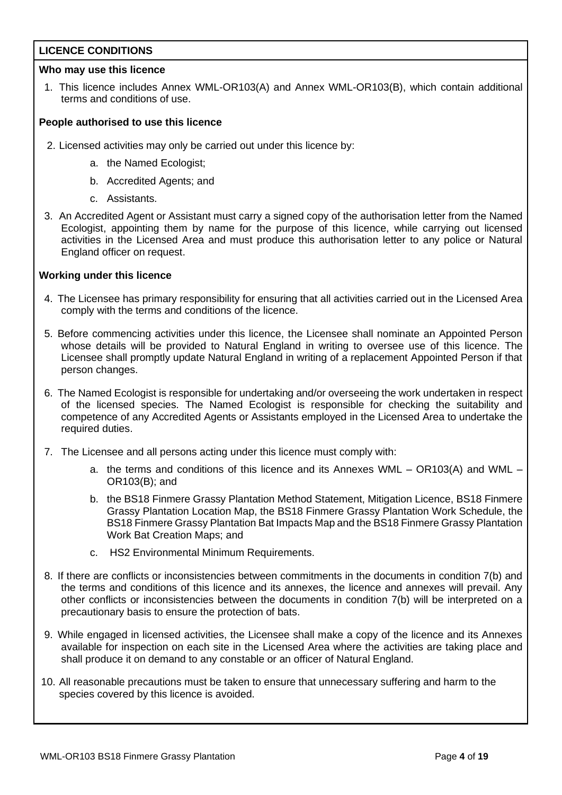## **LICENCE CONDITIONS**

## **Who may use this licence**

1. This licence includes Annex WML-OR103(A) and Annex WML-OR103(B), which contain additional terms and conditions of use.

## **People authorised to use this licence**

- 2. Licensed activities may only be carried out under this licence by:
	- a. the Named Ecologist;
	- b. Accredited Agents; and
	- c. Assistants.
- 3. An Accredited Agent or Assistant must carry a signed copy of the authorisation letter from the Named Ecologist, appointing them by name for the purpose of this licence, while carrying out licensed activities in the Licensed Area and must produce this authorisation letter to any police or Natural England officer on request.

## **Working under this licence**

- 4. The Licensee has primary responsibility for ensuring that all activities carried out in the Licensed Area comply with the terms and conditions of the licence.
- 5. Before commencing activities under this licence, the Licensee shall nominate an Appointed Person whose details will be provided to Natural England in writing to oversee use of this licence. The Licensee shall promptly update Natural England in writing of a replacement Appointed Person if that person changes.
- 6. The Named Ecologist is responsible for undertaking and/or overseeing the work undertaken in respect of the licensed species. The Named Ecologist is responsible for checking the suitability and competence of any Accredited Agents or Assistants employed in the Licensed Area to undertake the required duties.
- 7. The Licensee and all persons acting under this licence must comply with:
	- a. the terms and conditions of this licence and its Annexes WML OR103(A) and WML OR103(B); and
	- b. the BS18 Finmere Grassy Plantation Method Statement, Mitigation Licence, BS18 Finmere Grassy Plantation Location Map, the BS18 Finmere Grassy Plantation Work Schedule, the BS18 Finmere Grassy Plantation Bat Impacts Map and the BS18 Finmere Grassy Plantation Work Bat Creation Maps; and
	- c. HS2 Environmental Minimum Requirements.
- 8. If there are conflicts or inconsistencies between commitments in the documents in condition 7(b) and the terms and conditions of this licence and its annexes, the licence and annexes will prevail. Any other conflicts or inconsistencies between the documents in condition 7(b) will be interpreted on a precautionary basis to ensure the protection of bats.
- 9. While engaged in licensed activities, the Licensee shall make a copy of the licence and its Annexes available for inspection on each site in the Licensed Area where the activities are taking place and shall produce it on demand to any constable or an officer of Natural England.
- 10. All reasonable precautions must be taken to ensure that unnecessary suffering and harm to the species covered by this licence is avoided.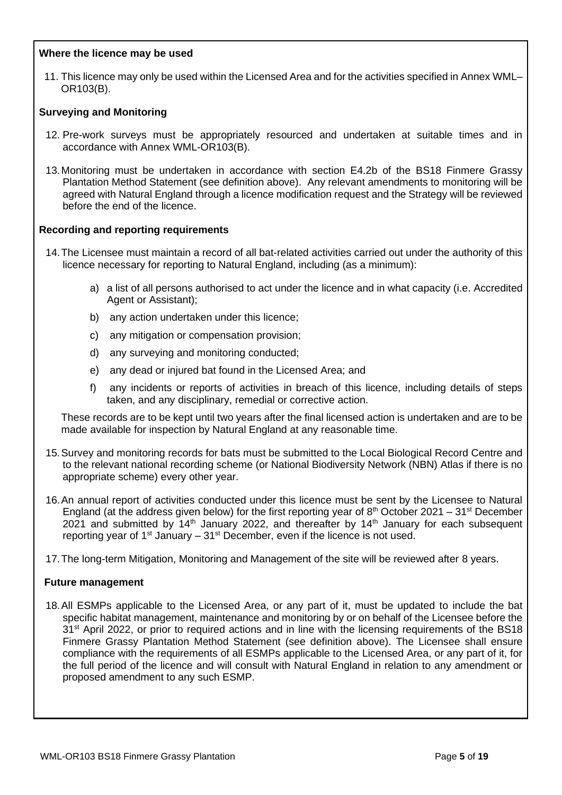## **Where the licence may be used**

11. This licence may only be used within the Licensed Area and for the activities specified in Annex WML– OR103(B).

## **Surveying and Monitoring**

- 12. Pre-work surveys must be appropriately resourced and undertaken at suitable times and in accordance with Annex WML-OR103(B).
- 13.Monitoring must be undertaken in accordance with section E4.2b of the BS18 Finmere Grassy Plantation Method Statement (see definition above). Any relevant amendments to monitoring will be agreed with Natural England through a licence modification request and the Strategy will be reviewed before the end of the licence.

## **Recording and reporting requirements**

- 14.The Licensee must maintain a record of all bat-related activities carried out under the authority of this licence necessary for reporting to Natural England, including (as a minimum):
	- a) a list of all persons authorised to act under the licence and in what capacity (i.e. Accredited Agent or Assistant);
	- b) any action undertaken under this licence;
	- c) any mitigation or compensation provision;
	- d) any surveying and monitoring conducted;
	- e) any dead or injured bat found in the Licensed Area; and
	- f) any incidents or reports of activities in breach of this licence, including details of steps taken, and any disciplinary, remedial or corrective action.

These records are to be kept until two years after the final licensed action is undertaken and are to be made available for inspection by Natural England at any reasonable time.

- 15.Survey and monitoring records for bats must be submitted to the Local Biological Record Centre and to the relevant national recording scheme (or National Biodiversity Network (NBN) Atlas if there is no appropriate scheme) every other year.
- 16.An annual report of activities conducted under this licence must be sent by the Licensee to Natural England (at the address given below) for the first reporting year of  $8<sup>th</sup>$  October 2021 – 31<sup>st</sup> December 2021 and submitted by  $14<sup>th</sup>$  January 2022, and thereafter by  $14<sup>th</sup>$  January for each subsequent reporting year of  $1<sup>st</sup>$  January –  $31<sup>st</sup>$  December, even if the licence is not used.
- 17.The long-term Mitigation, Monitoring and Management of the site will be reviewed after 8 years.

### **Future management**

18.All ESMPs applicable to the Licensed Area, or any part of it, must be updated to include the bat specific habitat management, maintenance and monitoring by or on behalf of the Licensee before the 31<sup>st</sup> April 2022, or prior to required actions and in line with the licensing requirements of the BS18 Finmere Grassy Plantation Method Statement (see definition above). The Licensee shall ensure compliance with the requirements of all ESMPs applicable to the Licensed Area, or any part of it, for the full period of the licence and will consult with Natural England in relation to any amendment or proposed amendment to any such ESMP.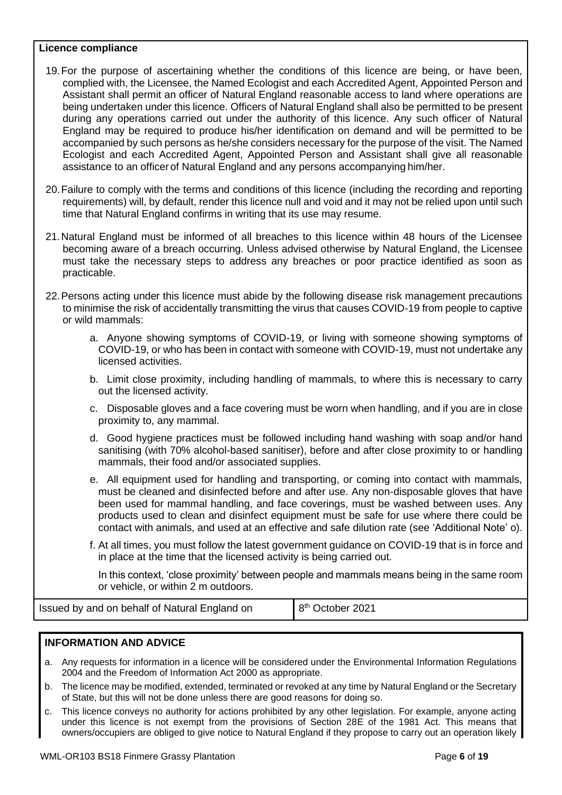### **Licence compliance**

- 19.For the purpose of ascertaining whether the conditions of this licence are being, or have been, complied with, the Licensee, the Named Ecologist and each Accredited Agent, Appointed Person and Assistant shall permit an officer of Natural England reasonable access to land where operations are being undertaken under this licence. Officers of Natural England shall also be permitted to be present during any operations carried out under the authority of this licence. Any such officer of Natural England may be required to produce his/her identification on demand and will be permitted to be accompanied by such persons as he/she considers necessary for the purpose of the visit. The Named Ecologist and each Accredited Agent, Appointed Person and Assistant shall give all reasonable assistance to an officerof Natural England and any persons accompanying him/her.
- 20.Failure to comply with the terms and conditions of this licence (including the recording and reporting requirements) will, by default, render this licence null and void and it may not be relied upon until such time that Natural England confirms in writing that its use may resume.
- 21.Natural England must be informed of all breaches to this licence within 48 hours of the Licensee becoming aware of a breach occurring. Unless advised otherwise by Natural England, the Licensee must take the necessary steps to address any breaches or poor practice identified as soon as practicable.
- 22.Persons acting under this licence must abide by the following disease risk management precautions to minimise the risk of accidentally transmitting the virus that causes COVID-19 from people to captive or wild mammals:
	- a. Anyone showing symptoms of COVID-19, or living with someone showing symptoms of COVID-19, or who has been in contact with someone with COVID-19, must not undertake any licensed activities.
	- b. Limit close proximity, including handling of mammals, to where this is necessary to carry out the licensed activity.
	- c. Disposable gloves and a face covering must be worn when handling, and if you are in close proximity to, any mammal.
	- d. Good hygiene practices must be followed including hand washing with soap and/or hand sanitising (with 70% alcohol-based sanitiser), before and after close proximity to or handling mammals, their food and/or associated supplies.
	- e. All equipment used for handling and transporting, or coming into contact with mammals, must be cleaned and disinfected before and after use. Any non-disposable gloves that have been used for mammal handling, and face coverings, must be washed between uses. Any products used to clean and disinfect equipment must be safe for use where there could be contact with animals, and used at an effective and safe dilution rate (see 'Additional Note' o).
	- f. At all times, you must follow the latest government guidance on COVID-19 that is in force and in place at the time that the licensed activity is being carried out.

In this context, 'close proximity' between people and mammals means being in the same room or vehicle, or within 2 m outdoors.

Issued by and on behalf of Natural England on 8

8<sup>th</sup> October 2021

### **INFORMATION AND ADVICE**

- a. Any requests for information in a licence will be considered under the Environmental Information Regulations 2004 and the Freedom of Information Act 2000 as appropriate.
- b. The licence may be modified, extended, terminated or revoked at any time by Natural England or the Secretary of State, but this will not be done unless there are good reasons for doing so.
- c. This licence conveys no authority for actions prohibited by any other legislation. For example, anyone acting under this licence is not exempt from the provisions of Section 28E of the 1981 Act. This means that owners/occupiers are obliged to give notice to Natural England if they propose to carry out an operation likely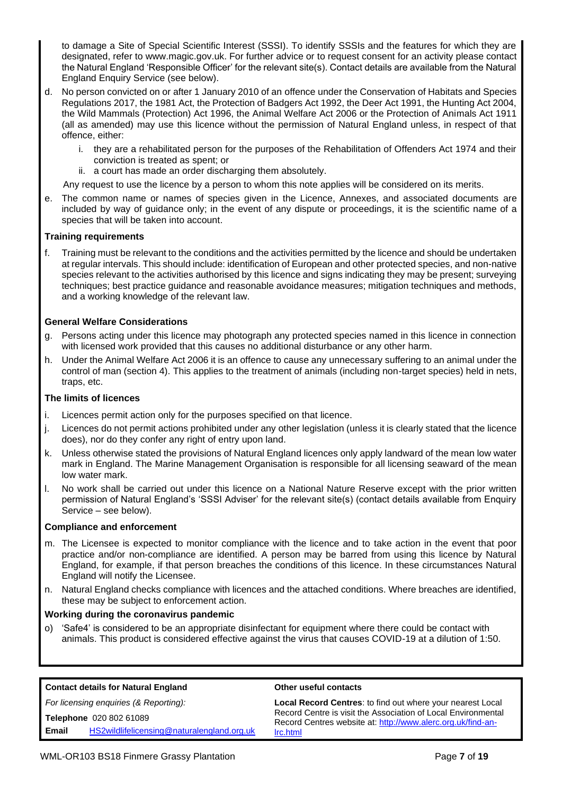to damage a Site of Special Scientific Interest (SSSI). To identify SSSIs and the features for which they are designated, refer to www.magic.gov.uk. For further advice or to request consent for an activity please contact the Natural England 'Responsible Officer' for the relevant site(s). Contact details are available from the Natural England Enquiry Service (see below).

- d. No person convicted on or after 1 January 2010 of an offence under the Conservation of Habitats and Species Regulations 2017, the 1981 Act, the Protection of Badgers Act 1992, the Deer Act 1991, the Hunting Act 2004, the Wild Mammals (Protection) Act 1996, the Animal Welfare Act 2006 or the Protection of Animals Act 1911 (all as amended) may use this licence without the permission of Natural England unless, in respect of that offence, either:
	- i. they are a rehabilitated person for the purposes of the Rehabilitation of Offenders Act 1974 and their conviction is treated as spent; or
	- ii. a court has made an order discharging them absolutely.

Any request to use the licence by a person to whom this note applies will be considered on its merits.

e. The common name or names of species given in the Licence, Annexes, and associated documents are included by way of guidance only; in the event of any dispute or proceedings, it is the scientific name of a species that will be taken into account.

### **Training requirements**

f. Training must be relevant to the conditions and the activities permitted by the licence and should be undertaken at regular intervals. This should include: identification of European and other protected species, and non-native species relevant to the activities authorised by this licence and signs indicating they may be present; surveying techniques; best practice guidance and reasonable avoidance measures; mitigation techniques and methods, and a working knowledge of the relevant law.

### **General Welfare Considerations**

- g. Persons acting under this licence may photograph any protected species named in this licence in connection with licensed work provided that this causes no additional disturbance or any other harm.
- h. Under the Animal Welfare Act 2006 it is an offence to cause any unnecessary suffering to an animal under the control of man (section 4). This applies to the treatment of animals (including non-target species) held in nets, traps, etc.

#### **The limits of licences**

- i. Licences permit action only for the purposes specified on that licence.
- j. Licences do not permit actions prohibited under any other legislation (unless it is clearly stated that the licence does), nor do they confer any right of entry upon land.
- k. Unless otherwise stated the provisions of Natural England licences only apply landward of the mean low water mark in England. The Marine Management Organisation is responsible for all licensing seaward of the mean low water mark.
- l. No work shall be carried out under this licence on a National Nature Reserve except with the prior written permission of Natural England's 'SSSI Adviser' for the relevant site(s) (contact details available from Enquiry Service – see below).

#### **Compliance and enforcement**

- m. The Licensee is expected to monitor compliance with the licence and to take action in the event that poor practice and/or non-compliance are identified. A person may be barred from using this licence by Natural England, for example, if that person breaches the conditions of this licence. In these circumstances Natural England will notify the Licensee.
- n. Natural England checks compliance with licences and the attached conditions. Where breaches are identified, these may be subject to enforcement action.

#### **Working during the coronavirus pandemic**

o) 'Safe4' is considered to be an appropriate disinfectant for equipment where there could be contact with animals. This product is considered effective against the virus that causes COVID-19 at a dilution of 1:50.

| <b>Contact details for Natural England</b>                                     | <b>Other useful contacts</b>                                                                                                       |  |  |  |
|--------------------------------------------------------------------------------|------------------------------------------------------------------------------------------------------------------------------------|--|--|--|
| For licensing enquiries (& Reporting):                                         | <b>Local Record Centres: to find out where your nearest Local</b><br>Record Centre is visit the Association of Local Environmental |  |  |  |
| Telephone 020 802 61089<br>HS2wildlifelicensing@naturalengland.org.uk<br>Email | Record Centres website at: http://www.alerc.org.uk/find-an-<br>Irc.html                                                            |  |  |  |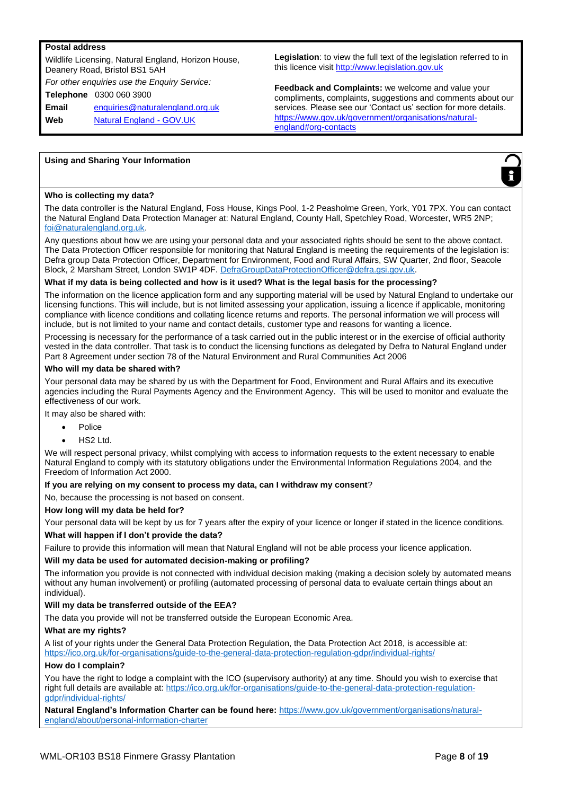#### **Postal address**

Wildlife Licensing, Natural England, Horizon House, Deanery Road, Bristol BS1 5AH *For other enquiries use the Enquiry Service:* **Telephone** 0300 060 3900 **Email** enquiries@naturalengland.org.uk **Web** Natural England - GOV.UK

**Legislation**: to view the full text of the legislation referred to in this licence visit http://www.legislation.gov.uk

**Feedback and Complaints:** we welcome and value your compliments, complaints, suggestions and comments about our services. Please see our 'Contact us' section for more details. https://www.gov.uk/government/organisations/naturalengland#org-contacts

#### **Using and Sharing Your Information**



#### **Who is collecting my data?**

The data controller is the Natural England, Foss House, Kings Pool, 1-2 Peasholme Green, York, Y01 7PX. You can contact the Natural England Data Protection Manager at: Natural England, County Hall, Spetchley Road, Worcester, WR5 2NP; foi@naturalengland.org.uk.

Any questions about how we are using your personal data and your associated rights should be sent to the above contact. The Data Protection Officer responsible for monitoring that Natural England is meeting the requirements of the legislation is: Defra group Data Protection Officer, Department for Environment, Food and Rural Affairs, SW Quarter, 2nd floor, Seacole Block, 2 Marsham Street, London SW1P 4DF. DefraGroupDataProtectionOfficer@defra.gsi.gov.uk.

#### **What if my data is being collected and how is it used? What is the legal basis for the processing?**

The information on the licence application form and any supporting material will be used by Natural England to undertake our licensing functions. This will include, but is not limited assessing your application, issuing a licence if applicable, monitoring compliance with licence conditions and collating licence returns and reports. The personal information we will process will include, but is not limited to your name and contact details, customer type and reasons for wanting a licence.

Processing is necessary for the performance of a task carried out in the public interest or in the exercise of official authority vested in the data controller. That task is to conduct the licensing functions as delegated by Defra to Natural England under Part 8 Agreement under section 78 of the Natural Environment and Rural Communities Act 2006

#### **Who will my data be shared with?**

Your personal data may be shared by us with the Department for Food, Environment and Rural Affairs and its executive agencies including the Rural Payments Agency and the Environment Agency. This will be used to monitor and evaluate the effectiveness of our work.

It may also be shared with:

- Police
- HS2 Ltd.

We will respect personal privacy, whilst complying with access to information requests to the extent necessary to enable Natural England to comply with its statutory obligations under the Environmental Information Regulations 2004, and the Freedom of Information Act 2000.

#### **If you are relying on my consent to process my data, can I withdraw my consent**?

No, because the processing is not based on consent.

#### **How long will my data be held for?**

Your personal data will be kept by us for 7 years after the expiry of your licence or longer if stated in the licence conditions.

#### **What will happen if I don't provide the data?**

Failure to provide this information will mean that Natural England will not be able process your licence application.

#### **Will my data be used for automated decision-making or profiling?**

The information you provide is not connected with individual decision making (making a decision solely by automated means without any human involvement) or profiling (automated processing of personal data to evaluate certain things about an individual).

#### **Will my data be transferred outside of the EEA?**

The data you provide will not be transferred outside the European Economic Area.

#### **What are my rights?**

A list of your rights under the General Data Protection Regulation, the Data Protection Act 2018, is accessible at: https://ico.org.uk/for-organisations/guide-to-the-general-data-protection-regulation-gdpr/individual-rights/

#### **How do I complain?**

You have the right to lodge a complaint with the ICO (supervisory authority) at any time. Should you wish to exercise that right full details are available at: https://ico.org.uk/for-organisations/guide-to-the-general-data-protection-regulationgdpr/individual-rights/

**Natural England's Information Charter can be found here:** https://www.gov.uk/government/organisations/naturalengland/about/personal-information-charter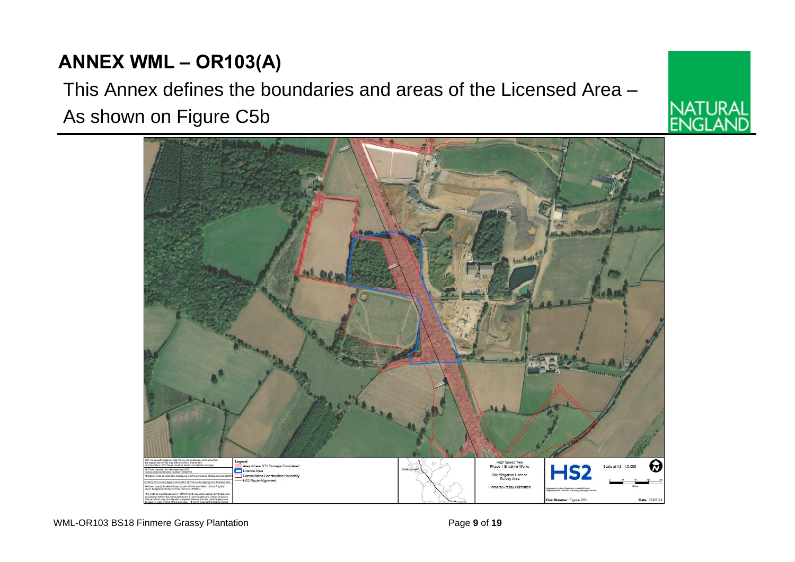## **ANNEX WML – OR103(A)**

# This Annex defines the boundaries and areas of the Licensed Area – As shown on Figure C5b



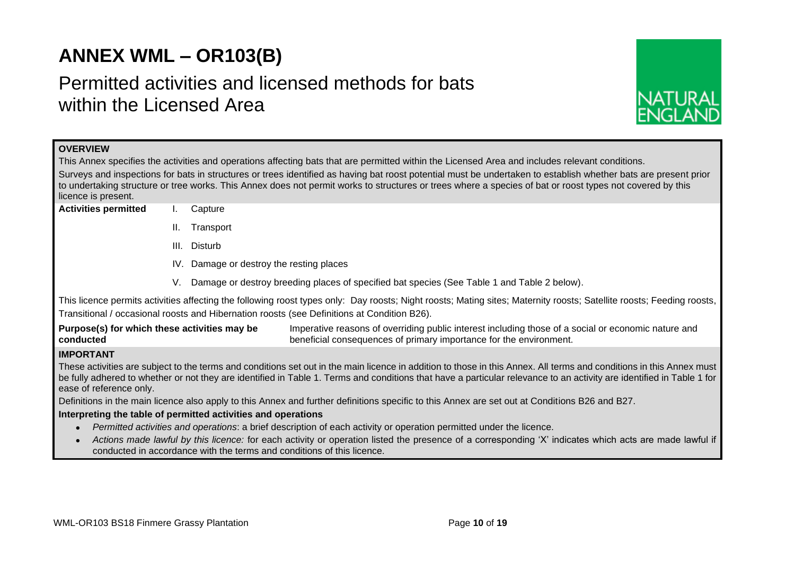## **ANNEX WML – OR103(B)**

## Permitted activities and licensed methods for bats within the Licensed Area



| <b>OVERVIEW</b>                                                                                                                                                                                                                  |                                                                                                                                                |           |                                                                                                                                                                                                                                                                                                                                               |  |  |  |  |  |
|----------------------------------------------------------------------------------------------------------------------------------------------------------------------------------------------------------------------------------|------------------------------------------------------------------------------------------------------------------------------------------------|-----------|-----------------------------------------------------------------------------------------------------------------------------------------------------------------------------------------------------------------------------------------------------------------------------------------------------------------------------------------------|--|--|--|--|--|
|                                                                                                                                                                                                                                  |                                                                                                                                                |           | This Annex specifies the activities and operations affecting bats that are permitted within the Licensed Area and includes relevant conditions.                                                                                                                                                                                               |  |  |  |  |  |
|                                                                                                                                                                                                                                  |                                                                                                                                                |           | Surveys and inspections for bats in structures or trees identified as having bat roost potential must be undertaken to establish whether bats are present prior<br>to undertaking structure or tree works. This Annex does not permit works to structures or trees where a species of bat or roost types not covered by this                  |  |  |  |  |  |
| licence is present.                                                                                                                                                                                                              |                                                                                                                                                |           |                                                                                                                                                                                                                                                                                                                                               |  |  |  |  |  |
| <b>Activities permitted</b>                                                                                                                                                                                                      |                                                                                                                                                | Capture   |                                                                                                                                                                                                                                                                                                                                               |  |  |  |  |  |
|                                                                                                                                                                                                                                  | H.                                                                                                                                             | Transport |                                                                                                                                                                                                                                                                                                                                               |  |  |  |  |  |
|                                                                                                                                                                                                                                  | Disturb<br>HL.                                                                                                                                 |           |                                                                                                                                                                                                                                                                                                                                               |  |  |  |  |  |
|                                                                                                                                                                                                                                  | IV. Damage or destroy the resting places                                                                                                       |           |                                                                                                                                                                                                                                                                                                                                               |  |  |  |  |  |
|                                                                                                                                                                                                                                  | Damage or destroy breeding places of specified bat species (See Table 1 and Table 2 below).<br>V.                                              |           |                                                                                                                                                                                                                                                                                                                                               |  |  |  |  |  |
|                                                                                                                                                                                                                                  |                                                                                                                                                |           | This licence permits activities affecting the following roost types only: Day roosts; Night roosts; Mating sites; Maternity roosts; Satellite roosts; Feeding roosts,<br>Transitional / occasional roosts and Hibernation roosts (see Definitions at Condition B26).                                                                          |  |  |  |  |  |
| Purpose(s) for which these activities may be<br>conducted                                                                                                                                                                        |                                                                                                                                                |           | Imperative reasons of overriding public interest including those of a social or economic nature and<br>beneficial consequences of primary importance for the environment.                                                                                                                                                                     |  |  |  |  |  |
| <b>IMPORTANT</b>                                                                                                                                                                                                                 |                                                                                                                                                |           |                                                                                                                                                                                                                                                                                                                                               |  |  |  |  |  |
| ease of reference only.                                                                                                                                                                                                          |                                                                                                                                                |           | These activities are subject to the terms and conditions set out in the main licence in addition to those in this Annex. All terms and conditions in this Annex must<br>be fully adhered to whether or not they are identified in Table 1. Terms and conditions that have a particular relevance to an activity are identified in Table 1 for |  |  |  |  |  |
|                                                                                                                                                                                                                                  | Definitions in the main licence also apply to this Annex and further definitions specific to this Annex are set out at Conditions B26 and B27. |           |                                                                                                                                                                                                                                                                                                                                               |  |  |  |  |  |
| Interpreting the table of permitted activities and operations                                                                                                                                                                    |                                                                                                                                                |           |                                                                                                                                                                                                                                                                                                                                               |  |  |  |  |  |
|                                                                                                                                                                                                                                  |                                                                                                                                                |           | Permitted activities and operations: a brief description of each activity or operation permitted under the licence.                                                                                                                                                                                                                           |  |  |  |  |  |
| Actions made lawful by this licence: for each activity or operation listed the presence of a corresponding 'X' indicates which acts are made lawful if<br>conducted in accordance with the terms and conditions of this licence. |                                                                                                                                                |           |                                                                                                                                                                                                                                                                                                                                               |  |  |  |  |  |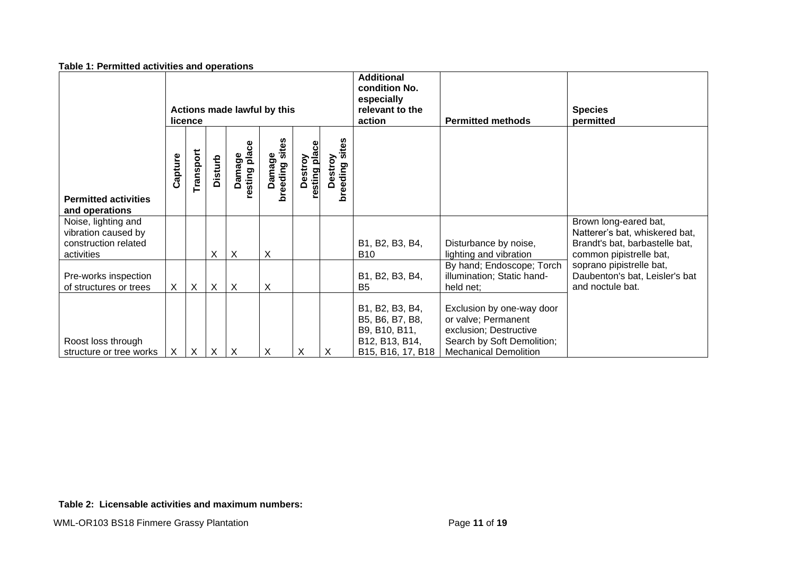| rapic 1. I chilitted activities and operations                                   |                                        |                           |                |                                    |                             |                          |                              |                                                                                            |                                                                                                                                          |                                                                                                                      |
|----------------------------------------------------------------------------------|----------------------------------------|---------------------------|----------------|------------------------------------|-----------------------------|--------------------------|------------------------------|--------------------------------------------------------------------------------------------|------------------------------------------------------------------------------------------------------------------------------------------|----------------------------------------------------------------------------------------------------------------------|
|                                                                                  | Actions made lawful by this<br>licence |                           |                |                                    |                             |                          |                              | <b>Additional</b><br>condition No.<br>especially<br>relevant to the<br>action              | <b>Permitted methods</b>                                                                                                                 | <b>Species</b><br>permitted                                                                                          |
| <b>Permitted activities</b><br>and operations                                    | Capture                                | Transport                 | <b>Disturb</b> | resting place<br>amage<br>$\Omega$ | sites<br>Damage<br>breeding | Destroy<br>resting place | sites<br>Destroy<br>breeding |                                                                                            |                                                                                                                                          |                                                                                                                      |
| Noise, lighting and<br>vibration caused by<br>construction related<br>activities |                                        |                           | X              | $\boldsymbol{\mathsf{X}}$          | Χ                           |                          |                              | B1, B2, B3, B4,<br><b>B</b> 10                                                             | Disturbance by noise,<br>lighting and vibration                                                                                          | Brown long-eared bat,<br>Natterer's bat, whiskered bat,<br>Brandt's bat, barbastelle bat,<br>common pipistrelle bat, |
| Pre-works inspection<br>of structures or trees                                   | $\mathsf{X}$                           | $\boldsymbol{\mathsf{X}}$ | X              | X                                  | Χ                           |                          |                              | B1, B2, B3, B4,<br><b>B5</b>                                                               | By hand; Endoscope; Torch<br>illumination; Static hand-<br>held net;                                                                     | soprano pipistrelle bat,<br>Daubenton's bat, Leisler's bat<br>and noctule bat.                                       |
| Roost loss through<br>structure or tree works                                    | X                                      | X                         | X              | X                                  | X                           | X                        | X                            | B1, B2, B3, B4,<br>B5, B6, B7, B8,<br>B9, B10, B11,<br>B12, B13, B14,<br>B15, B16, 17, B18 | Exclusion by one-way door<br>or valve; Permanent<br>exclusion; Destructive<br>Search by Soft Demolition;<br><b>Mechanical Demolition</b> |                                                                                                                      |

#### **Table 1: Permitted activities and operations**

**Table 2: Licensable activities and maximum numbers:**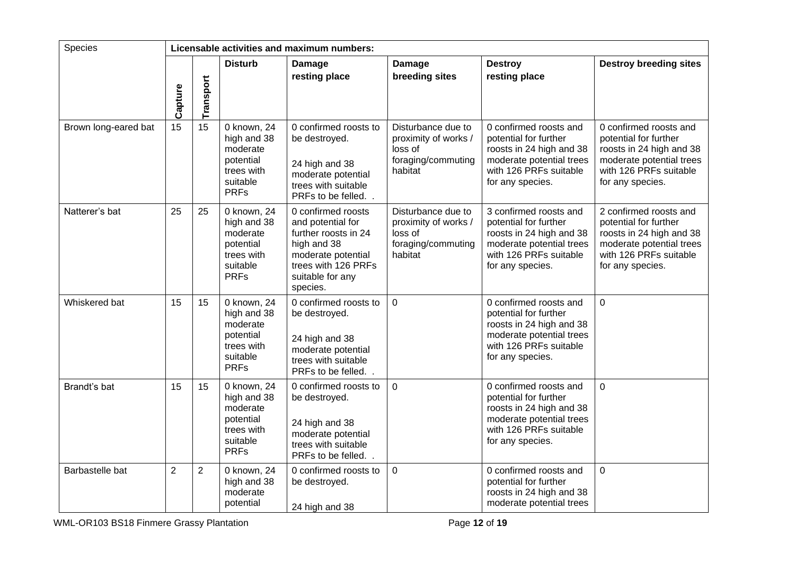| Species              |                | Licensable activities and maximum numbers: |                                                                                              |                                                                                                                                                             |                                                                                        |                                                                                                                                                       |                                                                                                                                                       |  |
|----------------------|----------------|--------------------------------------------|----------------------------------------------------------------------------------------------|-------------------------------------------------------------------------------------------------------------------------------------------------------------|----------------------------------------------------------------------------------------|-------------------------------------------------------------------------------------------------------------------------------------------------------|-------------------------------------------------------------------------------------------------------------------------------------------------------|--|
|                      | Capture        | Transport                                  | <b>Disturb</b>                                                                               | Damage<br>resting place                                                                                                                                     | Damage<br>breeding sites                                                               | <b>Destroy</b><br>resting place                                                                                                                       | <b>Destroy breeding sites</b>                                                                                                                         |  |
| Brown long-eared bat | 15             | 15                                         | 0 known, 24<br>high and 38<br>moderate<br>potential<br>trees with<br>suitable<br><b>PRFs</b> | 0 confirmed roosts to<br>be destroyed.<br>24 high and 38<br>moderate potential<br>trees with suitable<br>PRFs to be felled                                  | Disturbance due to<br>proximity of works /<br>loss of<br>foraging/commuting<br>habitat | 0 confirmed roosts and<br>potential for further<br>roosts in 24 high and 38<br>moderate potential trees<br>with 126 PRFs suitable<br>for any species. | 0 confirmed roosts and<br>potential for further<br>roosts in 24 high and 38<br>moderate potential trees<br>with 126 PRFs suitable<br>for any species. |  |
| Natterer's bat       | 25             | 25                                         | 0 known, 24<br>high and 38<br>moderate<br>potential<br>trees with<br>suitable<br><b>PRFs</b> | 0 confirmed roosts<br>and potential for<br>further roosts in 24<br>high and 38<br>moderate potential<br>trees with 126 PRFs<br>suitable for any<br>species. | Disturbance due to<br>proximity of works /<br>loss of<br>foraging/commuting<br>habitat | 3 confirmed roosts and<br>potential for further<br>roosts in 24 high and 38<br>moderate potential trees<br>with 126 PRFs suitable<br>for any species. | 2 confirmed roosts and<br>potential for further<br>roosts in 24 high and 38<br>moderate potential trees<br>with 126 PRFs suitable<br>for any species. |  |
| Whiskered bat        | 15             | 15                                         | 0 known, 24<br>high and 38<br>moderate<br>potential<br>trees with<br>suitable<br><b>PRFs</b> | 0 confirmed roosts to<br>be destroyed.<br>24 high and 38<br>moderate potential<br>trees with suitable<br>PRFs to be felled.                                 | 0                                                                                      | 0 confirmed roosts and<br>potential for further<br>roosts in 24 high and 38<br>moderate potential trees<br>with 126 PRFs suitable<br>for any species. | $\mathbf 0$                                                                                                                                           |  |
| Brandt's bat         | 15             | 15                                         | 0 known, 24<br>high and 38<br>moderate<br>potential<br>trees with<br>suitable<br><b>PRFs</b> | 0 confirmed roosts to<br>be destroyed.<br>24 high and 38<br>moderate potential<br>trees with suitable<br>PRFs to be felled.                                 | 0                                                                                      | 0 confirmed roosts and<br>potential for further<br>roosts in 24 high and 38<br>moderate potential trees<br>with 126 PRFs suitable<br>for any species. | $\overline{0}$                                                                                                                                        |  |
| Barbastelle bat      | $\overline{2}$ | $\overline{2}$                             | 0 known, 24<br>high and 38<br>moderate<br>potential                                          | 0 confirmed roosts to<br>be destroyed.<br>24 high and 38                                                                                                    | 0                                                                                      | 0 confirmed roosts and<br>potential for further<br>roosts in 24 high and 38<br>moderate potential trees                                               | $\mathbf 0$                                                                                                                                           |  |

WML-OR103 BS18 Finmere Grassy Plantation **Page 12 of 19** Page 12 of 19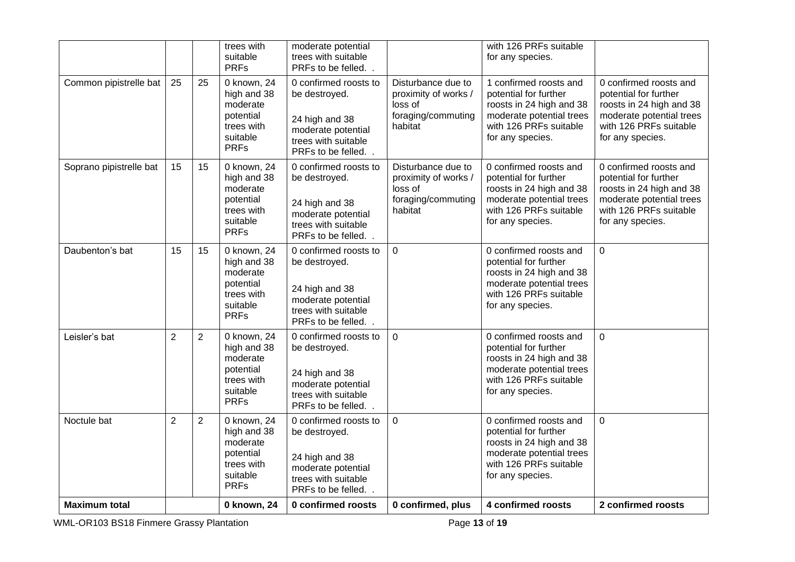|                         |                |                | trees with<br>suitable<br><b>PRFs</b>                                                        | moderate potential<br>trees with suitable<br>PRFs to be felled.                                                             |                                                                                        | with 126 PRFs suitable<br>for any species.                                                                                                            |                                                                                                                                                       |
|-------------------------|----------------|----------------|----------------------------------------------------------------------------------------------|-----------------------------------------------------------------------------------------------------------------------------|----------------------------------------------------------------------------------------|-------------------------------------------------------------------------------------------------------------------------------------------------------|-------------------------------------------------------------------------------------------------------------------------------------------------------|
| Common pipistrelle bat  | 25             | 25             | 0 known, 24<br>high and 38<br>moderate<br>potential<br>trees with<br>suitable<br><b>PRFs</b> | 0 confirmed roosts to<br>be destroyed.<br>24 high and 38<br>moderate potential<br>trees with suitable<br>PRFs to be felled  | Disturbance due to<br>proximity of works /<br>loss of<br>foraging/commuting<br>habitat | 1 confirmed roosts and<br>potential for further<br>roosts in 24 high and 38<br>moderate potential trees<br>with 126 PRFs suitable<br>for any species. | 0 confirmed roosts and<br>potential for further<br>roosts in 24 high and 38<br>moderate potential trees<br>with 126 PRFs suitable<br>for any species. |
| Soprano pipistrelle bat | 15             | 15             | 0 known, 24<br>high and 38<br>moderate<br>potential<br>trees with<br>suitable<br><b>PRFs</b> | 0 confirmed roosts to<br>be destroyed.<br>24 high and 38<br>moderate potential<br>trees with suitable<br>PRFs to be felled  | Disturbance due to<br>proximity of works /<br>loss of<br>foraging/commuting<br>habitat | 0 confirmed roosts and<br>potential for further<br>roosts in 24 high and 38<br>moderate potential trees<br>with 126 PRFs suitable<br>for any species. | 0 confirmed roosts and<br>potential for further<br>roosts in 24 high and 38<br>moderate potential trees<br>with 126 PRFs suitable<br>for any species. |
| Daubenton's bat         | 15             | 15             | 0 known, 24<br>high and 38<br>moderate<br>potential<br>trees with<br>suitable<br><b>PRFs</b> | 0 confirmed roosts to<br>be destroyed.<br>24 high and 38<br>moderate potential<br>trees with suitable<br>PRFs to be felled. | $\mathbf 0$                                                                            | 0 confirmed roosts and<br>potential for further<br>roosts in 24 high and 38<br>moderate potential trees<br>with 126 PRFs suitable<br>for any species. | $\mathbf 0$                                                                                                                                           |
| Leisler's bat           | $\overline{2}$ | $\overline{2}$ | 0 known, 24<br>high and 38<br>moderate<br>potential<br>trees with<br>suitable<br><b>PRFs</b> | 0 confirmed roosts to<br>be destroyed.<br>24 high and 38<br>moderate potential<br>trees with suitable<br>PRFs to be felled. | $\Omega$                                                                               | 0 confirmed roosts and<br>potential for further<br>roosts in 24 high and 38<br>moderate potential trees<br>with 126 PRFs suitable<br>for any species. | $\mathbf 0$                                                                                                                                           |
| Noctule bat             | $\overline{2}$ | $\overline{2}$ | 0 known, 24<br>high and 38<br>moderate<br>potential<br>trees with<br>suitable<br><b>PRFs</b> | 0 confirmed roosts to<br>be destroyed.<br>24 high and 38<br>moderate potential<br>trees with suitable<br>PRFs to be felled  | $\Omega$                                                                               | 0 confirmed roosts and<br>potential for further<br>roosts in 24 high and 38<br>moderate potential trees<br>with 126 PRFs suitable<br>for any species. | $\mathbf 0$                                                                                                                                           |
| <b>Maximum total</b>    |                |                | 0 known, 24                                                                                  | 0 confirmed roosts                                                                                                          | 0 confirmed, plus                                                                      | 4 confirmed roosts                                                                                                                                    | 2 confirmed roosts                                                                                                                                    |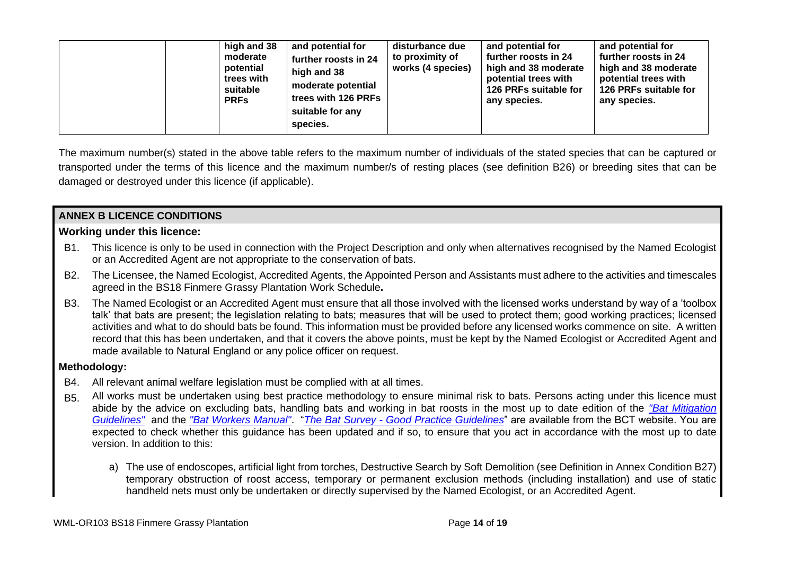| high and 38<br>and potential for<br>moderate<br>further roosts in 24<br>potential<br>high and 38<br>trees with<br>moderate potential<br>suitable<br>trees with 126 PRFs<br><b>PRFs</b><br>suitable for any<br>species. | disturbance due<br>to proximity of<br>works (4 species) | and potential for<br>further roosts in 24<br>high and 38 moderate<br>potential trees with<br>126 PRFs suitable for<br>any species. | and potential for<br>further roosts in 24<br>high and 38 moderate<br>potential trees with<br>126 PRFs suitable for<br>any species. |
|------------------------------------------------------------------------------------------------------------------------------------------------------------------------------------------------------------------------|---------------------------------------------------------|------------------------------------------------------------------------------------------------------------------------------------|------------------------------------------------------------------------------------------------------------------------------------|
|------------------------------------------------------------------------------------------------------------------------------------------------------------------------------------------------------------------------|---------------------------------------------------------|------------------------------------------------------------------------------------------------------------------------------------|------------------------------------------------------------------------------------------------------------------------------------|

The maximum number(s) stated in the above table refers to the maximum number of individuals of the stated species that can be captured or transported under the terms of this licence and the maximum number/s of resting places (see definition B26) or breeding sites that can be damaged or destroyed under this licence (if applicable).

## **ANNEX B LICENCE CONDITIONS**

## **Working under this licence:**

- B1. This licence is only to be used in connection with the Project Description and only when alternatives recognised by the Named Ecologist or an Accredited Agent are not appropriate to the conservation of bats.
- B2. The Licensee, the Named Ecologist, Accredited Agents, the Appointed Person and Assistants must adhere to the activities and timescales agreed in the BS18 Finmere Grassy Plantation Work Schedule**.**
- B3. The Named Ecologist or an Accredited Agent must ensure that all those involved with the licensed works understand by way of a 'toolbox talk' that bats are present; the legislation relating to bats; measures that will be used to protect them; good working practices; licensed activities and what to do should bats be found. This information must be provided before any licensed works commence on site. A written record that this has been undertaken, and that it covers the above points, must be kept by the Named Ecologist or Accredited Agent and made available to Natural England or any police officer on request.

## **Methodology:**

- B4. All relevant animal welfare legislation must be complied with at all times.
- B5. All works must be undertaken using best practice methodology to ensure minimal risk to bats. Persons acting under this licence must abide by the advice on excluding bats, handling bats and working in bat roosts in the most up to date edition of the *"Bat Mitigation Guidelines"* and the *"Bat Workers Manual"*. "*The Bat Survey - Good Practice Guidelines*" are available from the BCT website. You are expected to check whether this guidance has been updated and if so, to ensure that you act in accordance with the most up to date version. In addition to this:
	- a) The use of endoscopes, artificial light from torches, Destructive Search by Soft Demolition (see Definition in Annex Condition B27) temporary obstruction of roost access, temporary or permanent exclusion methods (including installation) and use of static handheld nets must only be undertaken or directly supervised by the Named Ecologist, or an Accredited Agent.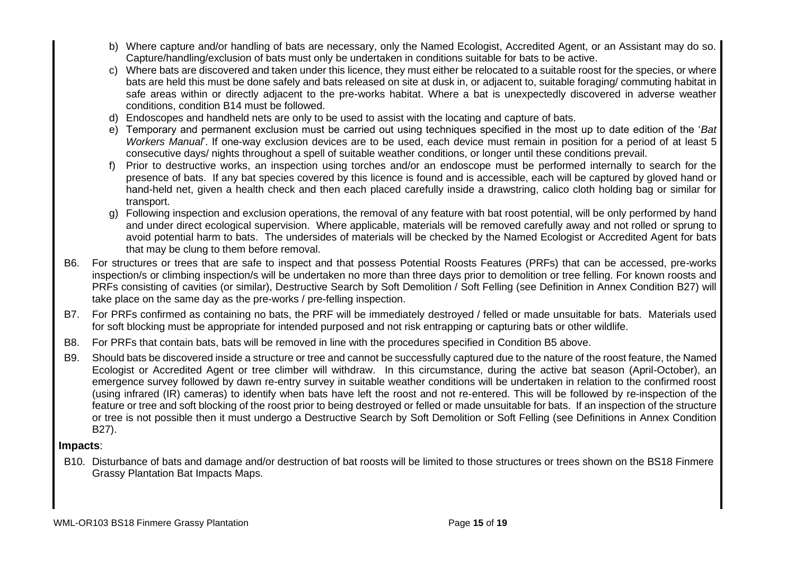- b) Where capture and/or handling of bats are necessary, only the Named Ecologist, Accredited Agent, or an Assistant may do so. Capture/handling/exclusion of bats must only be undertaken in conditions suitable for bats to be active.
- c) Where bats are discovered and taken under this licence, they must either be relocated to a suitable roost for the species, or where bats are held this must be done safely and bats released on site at dusk in, or adjacent to, suitable foraging/ commuting habitat in safe areas within or directly adjacent to the pre-works habitat. Where a bat is unexpectedly discovered in adverse weather conditions, condition B14 must be followed.
- d) Endoscopes and handheld nets are only to be used to assist with the locating and capture of bats.
- e) Temporary and permanent exclusion must be carried out using techniques specified in the most up to date edition of the '*Bat Workers Manual*'. If one-way exclusion devices are to be used, each device must remain in position for a period of at least 5 consecutive days/ nights throughout a spell of suitable weather conditions, or longer until these conditions prevail.
- f) Prior to destructive works, an inspection using torches and/or an endoscope must be performed internally to search for the presence of bats. If any bat species covered by this licence is found and is accessible, each will be captured by gloved hand or hand-held net, given a health check and then each placed carefully inside a drawstring, calico cloth holding bag or similar for transport.
- g) Following inspection and exclusion operations, the removal of any feature with bat roost potential, will be only performed by hand and under direct ecological supervision. Where applicable, materials will be removed carefully away and not rolled or sprung to avoid potential harm to bats. The undersides of materials will be checked by the Named Ecologist or Accredited Agent for bats that may be clung to them before removal.
- B6. For structures or trees that are safe to inspect and that possess Potential Roosts Features (PRFs) that can be accessed, pre-works inspection/s or climbing inspection/s will be undertaken no more than three days prior to demolition or tree felling. For known roosts and PRFs consisting of cavities (or similar), Destructive Search by Soft Demolition / Soft Felling (see Definition in Annex Condition B27) will take place on the same day as the pre-works / pre-felling inspection.
- B7. For PRFs confirmed as containing no bats, the PRF will be immediately destroyed / felled or made unsuitable for bats. Materials used for soft blocking must be appropriate for intended purposed and not risk entrapping or capturing bats or other wildlife.
- B8. For PRFs that contain bats, bats will be removed in line with the procedures specified in Condition B5 above.
- B9. Should bats be discovered inside a structure or tree and cannot be successfully captured due to the nature of the roost feature, the Named Ecologist or Accredited Agent or tree climber will withdraw. In this circumstance, during the active bat season (April-October), an emergence survey followed by dawn re-entry survey in suitable weather conditions will be undertaken in relation to the confirmed roost (using infrared (IR) cameras) to identify when bats have left the roost and not re-entered. This will be followed by re-inspection of the feature or tree and soft blocking of the roost prior to being destroyed or felled or made unsuitable for bats. If an inspection of the structure or tree is not possible then it must undergo a Destructive Search by Soft Demolition or Soft Felling (see Definitions in Annex Condition B27).

## **Impacts**:

B10. Disturbance of bats and damage and/or destruction of bat roosts will be limited to those structures or trees shown on the BS18 Finmere Grassy Plantation Bat Impacts Maps.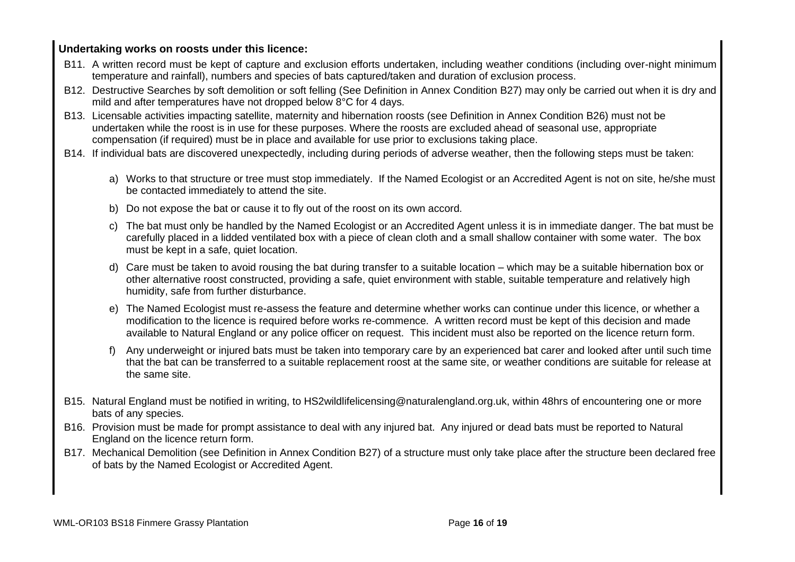## **Undertaking works on roosts under this licence:**

- B11. A written record must be kept of capture and exclusion efforts undertaken, including weather conditions (including over-night minimum temperature and rainfall), numbers and species of bats captured/taken and duration of exclusion process.
- B12. Destructive Searches by soft demolition or soft felling (See Definition in Annex Condition B27) may only be carried out when it is dry and mild and after temperatures have not dropped below 8°C for 4 days.
- B13. Licensable activities impacting satellite, maternity and hibernation roosts (see Definition in Annex Condition B26) must not be undertaken while the roost is in use for these purposes. Where the roosts are excluded ahead of seasonal use, appropriate compensation (if required) must be in place and available for use prior to exclusions taking place.
- B14. If individual bats are discovered unexpectedly, including during periods of adverse weather, then the following steps must be taken:
	- a) Works to that structure or tree must stop immediately. If the Named Ecologist or an Accredited Agent is not on site, he/she must be contacted immediately to attend the site.
	- b) Do not expose the bat or cause it to fly out of the roost on its own accord.
	- c) The bat must only be handled by the Named Ecologist or an Accredited Agent unless it is in immediate danger. The bat must be carefully placed in a lidded ventilated box with a piece of clean cloth and a small shallow container with some water. The box must be kept in a safe, quiet location.
	- d) Care must be taken to avoid rousing the bat during transfer to a suitable location which may be a suitable hibernation box or other alternative roost constructed, providing a safe, quiet environment with stable, suitable temperature and relatively high humidity, safe from further disturbance.
	- e) The Named Ecologist must re-assess the feature and determine whether works can continue under this licence, or whether a modification to the licence is required before works re-commence. A written record must be kept of this decision and made available to Natural England or any police officer on request. This incident must also be reported on the licence return form.
	- f) Any underweight or injured bats must be taken into temporary care by an experienced bat carer and looked after until such time that the bat can be transferred to a suitable replacement roost at the same site, or weather conditions are suitable for release at the same site.
- B15. Natural England must be notified in writing, to HS2wildlifelicensing@naturalengland.org.uk, within 48hrs of encountering one or more bats of any species.
- B16. Provision must be made for prompt assistance to deal with any injured bat. Any injured or dead bats must be reported to Natural England on the licence return form.
- B17. Mechanical Demolition (see Definition in Annex Condition B27) of a structure must only take place after the structure been declared free of bats by the Named Ecologist or Accredited Agent.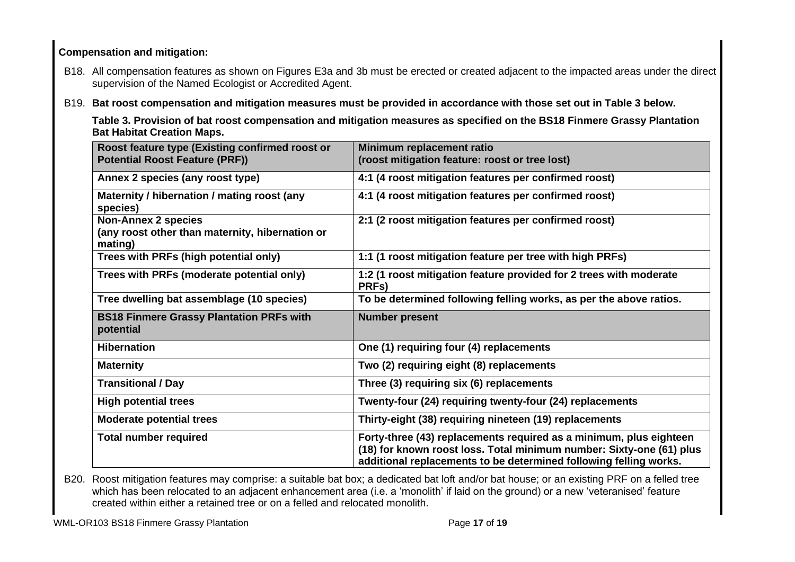## **Compensation and mitigation:**

- B18. All compensation features as shown on Figures E3a and 3b must be erected or created adjacent to the impacted areas under the direct supervision of the Named Ecologist or Accredited Agent.
- B19. **Bat roost compensation and mitigation measures must be provided in accordance with those set out in Table 3 below.**

**Table 3. Provision of bat roost compensation and mitigation measures as specified on the BS18 Finmere Grassy Plantation Bat Habitat Creation Maps.** 

| Roost feature type (Existing confirmed roost or<br><b>Potential Roost Feature (PRF))</b> | Minimum replacement ratio<br>(roost mitigation feature: roost or tree lost)                                                                                                                                     |
|------------------------------------------------------------------------------------------|-----------------------------------------------------------------------------------------------------------------------------------------------------------------------------------------------------------------|
| Annex 2 species (any roost type)                                                         | 4:1 (4 roost mitigation features per confirmed roost)                                                                                                                                                           |
| Maternity / hibernation / mating roost (any<br>species)                                  | 4:1 (4 roost mitigation features per confirmed roost)                                                                                                                                                           |
| <b>Non-Annex 2 species</b><br>(any roost other than maternity, hibernation or<br>mating) | 2:1 (2 roost mitigation features per confirmed roost)                                                                                                                                                           |
| Trees with PRFs (high potential only)                                                    | 1:1 (1 roost mitigation feature per tree with high PRFs)                                                                                                                                                        |
| Trees with PRFs (moderate potential only)                                                | 1:2 (1 roost mitigation feature provided for 2 trees with moderate<br>PRFs)                                                                                                                                     |
| Tree dwelling bat assemblage (10 species)                                                | To be determined following felling works, as per the above ratios.                                                                                                                                              |
| <b>BS18 Finmere Grassy Plantation PRFs with</b><br>potential                             | <b>Number present</b>                                                                                                                                                                                           |
| <b>Hibernation</b>                                                                       | One (1) requiring four (4) replacements                                                                                                                                                                         |
| <b>Maternity</b>                                                                         | Two (2) requiring eight (8) replacements                                                                                                                                                                        |
| <b>Transitional / Day</b>                                                                | Three (3) requiring six (6) replacements                                                                                                                                                                        |
| <b>High potential trees</b>                                                              | Twenty-four (24) requiring twenty-four (24) replacements                                                                                                                                                        |
| <b>Moderate potential trees</b>                                                          | Thirty-eight (38) requiring nineteen (19) replacements                                                                                                                                                          |
| <b>Total number required</b>                                                             | Forty-three (43) replacements required as a minimum, plus eighteen<br>(18) for known roost loss. Total minimum number: Sixty-one (61) plus<br>additional replacements to be determined following felling works. |

B20. Roost mitigation features may comprise: a suitable bat box; a dedicated bat loft and/or bat house; or an existing PRF on a felled tree which has been relocated to an adjacent enhancement area (i.e. a 'monolith' if laid on the ground) or a new 'veteranised' feature created within either a retained tree or on a felled and relocated monolith.

WML-OR103 BS18 Finmere Grassy Plantation **Page 17** of **19** Page 17 of 19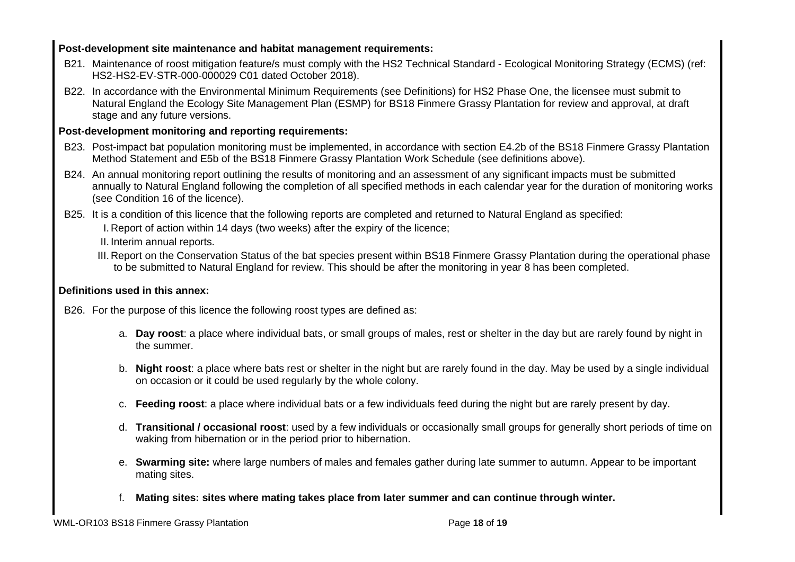## **Post-development site maintenance and habitat management requirements:**

- B21. Maintenance of roost mitigation feature/s must comply with the HS2 Technical Standard Ecological Monitoring Strategy (ECMS) (ref: HS2-HS2-EV-STR-000-000029 C01 dated October 2018).
- B22. In accordance with the Environmental Minimum Requirements (see Definitions) for HS2 Phase One, the licensee must submit to Natural England the Ecology Site Management Plan (ESMP) for BS18 Finmere Grassy Plantation for review and approval, at draft stage and any future versions.

## **Post-development monitoring and reporting requirements:**

- B23. Post-impact bat population monitoring must be implemented, in accordance with section E4.2b of the BS18 Finmere Grassy Plantation Method Statement and E5b of the BS18 Finmere Grassy Plantation Work Schedule (see definitions above).
- B24. An annual monitoring report outlining the results of monitoring and an assessment of any significant impacts must be submitted annually to Natural England following the completion of all specified methods in each calendar year for the duration of monitoring works (see Condition 16 of the licence).

B25. It is a condition of this licence that the following reports are completed and returned to Natural England as specified:

I. Report of action within 14 days (two weeks) after the expiry of the licence;

II. Interim annual reports.

III. Report on the Conservation Status of the bat species present within BS18 Finmere Grassy Plantation during the operational phase to be submitted to Natural England for review. This should be after the monitoring in year 8 has been completed.

## **Definitions used in this annex:**

B26. For the purpose of this licence the following roost types are defined as:

- a. **Day roost**: a place where individual bats, or small groups of males, rest or shelter in the day but are rarely found by night in the summer.
- b. **Night roost**: a place where bats rest or shelter in the night but are rarely found in the day. May be used by a single individual on occasion or it could be used regularly by the whole colony.
- c. **Feeding roost**: a place where individual bats or a few individuals feed during the night but are rarely present by day.
- d. **Transitional / occasional roost**: used by a few individuals or occasionally small groups for generally short periods of time on waking from hibernation or in the period prior to hibernation.
- e. **Swarming site:** where large numbers of males and females gather during late summer to autumn. Appear to be important mating sites.
- f. **Mating sites: sites where mating takes place from later summer and can continue through winter.**